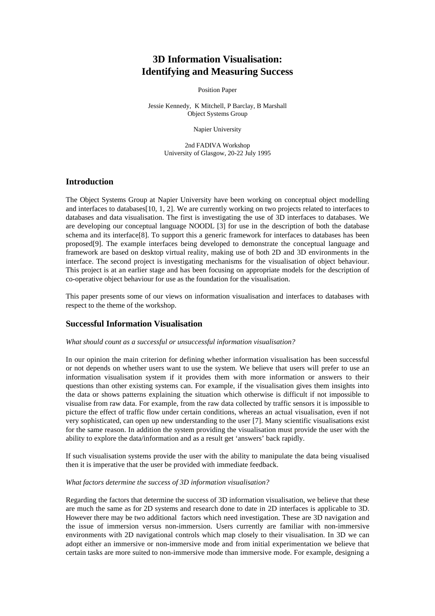# **3D Information Visualisation: Identifying and Measuring Success**

Position Paper

Jessie Kennedy, K Mitchell, P Barclay, B Marshall Object Systems Group

Napier University

2nd FADIVA Workshop University of Glasgow, 20-22 July 1995

# **Introduction**

The Object Systems Group at Napier University have been working on conceptual object modelling and interfaces to databases[10, 1, 2]. We are currently working on two projects related to interfaces to databases and data visualisation. The first is investigating the use of 3D interfaces to databases. We are developing our conceptual language NOODL [3] for use in the description of both the database schema and its interface[8]. To support this a generic framework for interfaces to databases has been proposed[9]. The example interfaces being developed to demonstrate the conceptual language and framework are based on desktop virtual reality, making use of both 2D and 3D environments in the interface. The second project is investigating mechanisms for the visualisation of object behaviour. This project is at an earlier stage and has been focusing on appropriate models for the description of co-operative object behaviour for use as the foundation for the visualisation.

This paper presents some of our views on information visualisation and interfaces to databases with respect to the theme of the workshop.

### **Successful Information Visualisation**

#### *What should count as a successful or unsuccessful information visualisation?*

In our opinion the main criterion for defining whether information visualisation has been successful or not depends on whether users want to use the system. We believe that users will prefer to use an information visualisation system if it provides them with more information or answers to their questions than other existing systems can. For example, if the visualisation gives them insights into the data or shows patterns explaining the situation which otherwise is difficult if not impossible to visualise from raw data. For example, from the raw data collected by traffic sensors it is impossible to picture the effect of traffic flow under certain conditions, whereas an actual visualisation, even if not very sophisticated, can open up new understanding to the user [7]. Many scientific visualisations exist for the same reason. In addition the system providing the visualisation must provide the user with the ability to explore the data/information and as a result get 'answers' back rapidly.

If such visualisation systems provide the user with the ability to manipulate the data being visualised then it is imperative that the user be provided with immediate feedback.

#### *What factors determine the success of 3D information visualisation?*

Regarding the factors that determine the success of 3D information visualisation, we believe that these are much the same as for 2D systems and research done to date in 2D interfaces is applicable to 3D. However there may be two additional factors which need investigation. These are 3D navigation and the issue of immersion versus non-immersion. Users currently are familiar with non-immersive environments with 2D navigational controls which map closely to their visualisation. In 3D we can adopt either an immersive or non-immersive mode and from initial experimentation we believe that certain tasks are more suited to non-immersive mode than immersive mode. For example, designing a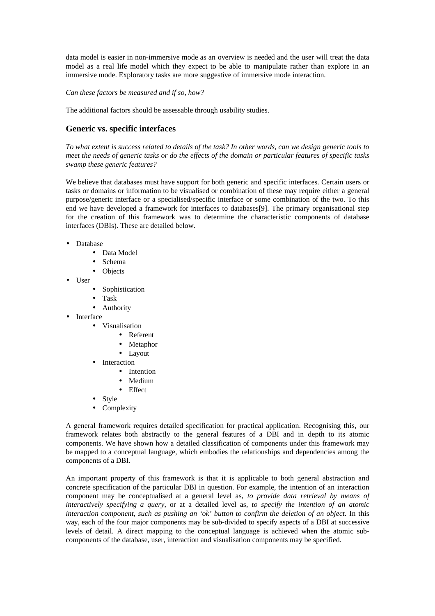data model is easier in non-immersive mode as an overview is needed and the user will treat the data model as a real life model which they expect to be able to manipulate rather than explore in an immersive mode. Exploratory tasks are more suggestive of immersive mode interaction.

*Can these factors be measured and if so, how?*

The additional factors should be assessable through usability studies.

### **Generic vs. specific interfaces**

*To what extent is success related to details of the task? In other words, can we design generic tools to meet the needs of generic tasks or do the effects of the domain or particular features of specific tasks swamp these generic features?*

We believe that databases must have support for both generic and specific interfaces. Certain users or tasks or domains or information to be visualised or combination of these may require either a general purpose/generic interface or a specialised/specific interface or some combination of the two. To this end we have developed a framework for interfaces to databases[9]. The primary organisational step for the creation of this framework was to determine the characteristic components of database interfaces (DBIs). These are detailed below.

- Database
	- Data Model
	- Schema
	- Objects
	- User
		- Sophistication
		- Task
		- Authority
- **Interface** 
	- Visualisation
		- Referent
		- Metaphor
		- Layout
	- **Interaction** 
		- Intention
		- Medium
		- Effect
	- Style
	- **Complexity**

A general framework requires detailed specification for practical application. Recognising this, our framework relates both abstractly to the general features of a DBI and in depth to its atomic components. We have shown how a detailed classification of components under this framework may be mapped to a conceptual language, which embodies the relationships and dependencies among the components of a DBI.

An important property of this framework is that it is applicable to both general abstraction and concrete specification of the particular DBI in question. For example, the intention of an interaction component may be conceptualised at a general level as, *to provide data retrieval by means of interactively specifying a query*, or at a detailed level as, *to specify the intention of an atomic interaction component, such as pushing an 'ok' button to confirm the deletion of an object*. In this way, each of the four major components may be sub-divided to specify aspects of a DBI at successive levels of detail. A direct mapping to the conceptual language is achieved when the atomic subcomponents of the database, user, interaction and visualisation components may be specified.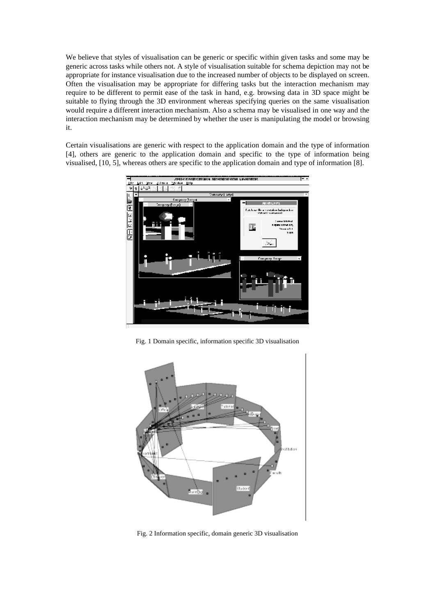We believe that styles of visualisation can be generic or specific within given tasks and some may be generic across tasks while others not. A style of visualisation suitable for schema depiction may not be appropriate for instance visualisation due to the increased number of objects to be displayed on screen. Often the visualisation may be appropriate for differing tasks but the interaction mechanism may require to be different to permit ease of the task in hand, e.g. browsing data in 3D space might be suitable to flying through the 3D environment whereas specifying queries on the same visualisation would require a different interaction mechanism. Also a schema may be visualised in one way and the interaction mechanism may be determined by whether the user is manipulating the model or browsing it.

Certain visualisations are generic with respect to the application domain and the type of information [4], others are generic to the application domain and specific to the type of information being visualised, [10, 5], whereas others are specific to the application domain and type of information [8].



Fig. 1 Domain specific, information specific 3D visualisation



Fig. 2 Information specific, domain generic 3D visualisation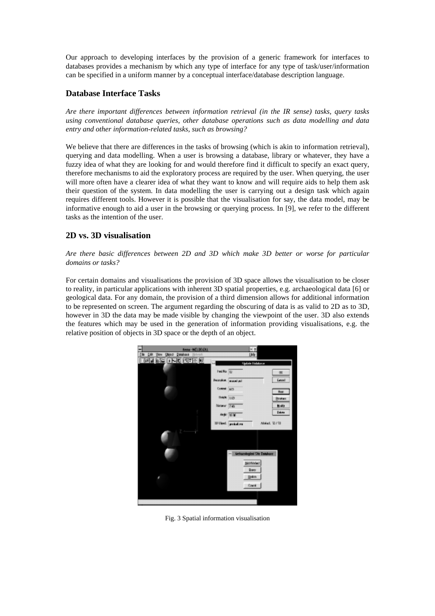Our approach to developing interfaces by the provision of a generic framework for interfaces to databases provides a mechanism by which any type of interface for any type of task/user/information can be specified in a uniform manner by a conceptual interface/database description language.

# **Database Interface Tasks**

*Are there important differences between information retrieval (in the IR sense) tasks, query tasks using conventional database queries, other database operations such as data modelling and data entry and other information-related tasks, such as browsing?*

We believe that there are differences in the tasks of browsing (which is akin to information retrieval), querying and data modelling. When a user is browsing a database, library or whatever, they have a fuzzy idea of what they are looking for and would therefore find it difficult to specify an exact query, therefore mechanisms to aid the exploratory process are required by the user. When querying, the user will more often have a clearer idea of what they want to know and will require aids to help them ask their question of the system. In data modelling the user is carrying out a design task which again requires different tools. However it is possible that the visualisation for say, the data model, may be informative enough to aid a user in the browsing or querying process. In [9], we refer to the different tasks as the intention of the user.

# **2D vs. 3D visualisation**

*Are there basic differences between 2D and 3D which make 3D better or worse for particular domains or tasks?*

For certain domains and visualisations the provision of 3D space allows the visualisation to be closer to reality, in particular applications with inherent 3D spatial properties, e.g. archaeological data [6] or geological data. For any domain, the provision of a third dimension allows for additional information to be represented on screen. The argument regarding the obscuring of data is as valid to 2D as to 3D, however in 3D the data may be made visible by changing the viewpoint of the user. 3D also extends the features which may be used in the generation of information providing visualisations, e.g. the relative position of objects in 3D space or the depth of an object.



Fig. 3 Spatial information visualisation